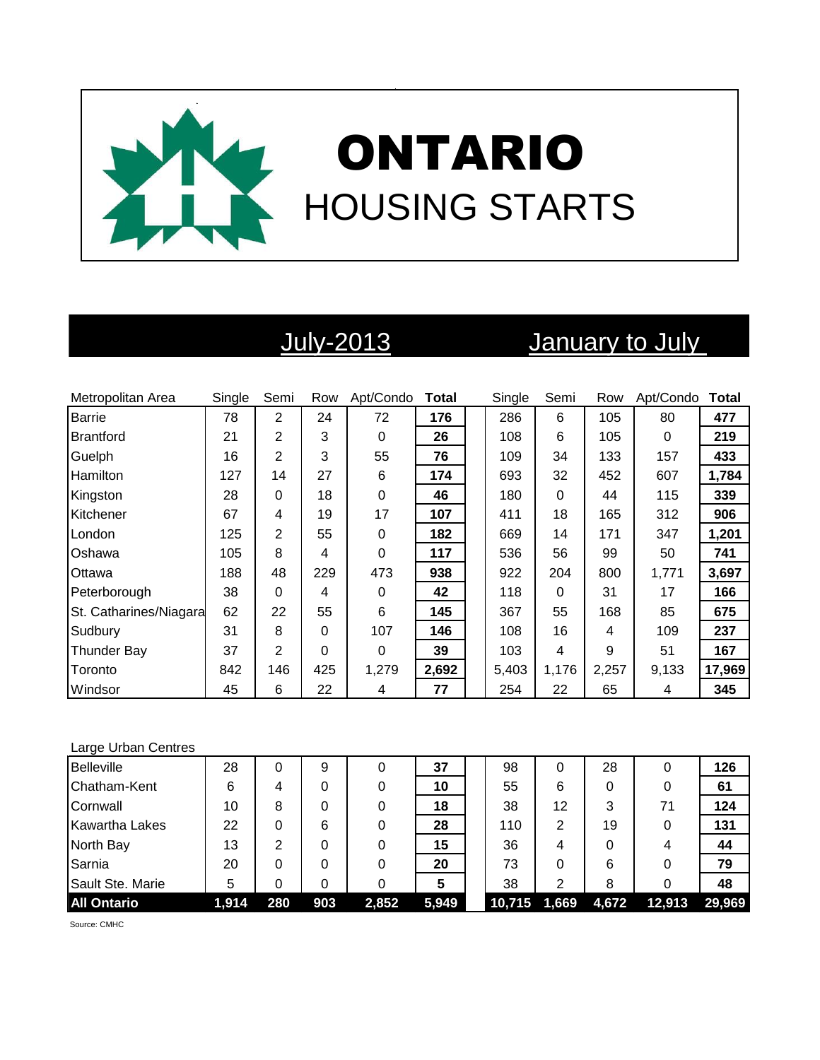

# July-2013 January to July

| Metropolitan Area      | Single | Semi           | Row | Apt/Condo | <b>Total</b> | Single | Semi     | Row   | Apt/Condo | <b>Total</b> |
|------------------------|--------|----------------|-----|-----------|--------------|--------|----------|-------|-----------|--------------|
| <b>Barrie</b>          | 78     | $\overline{2}$ | 24  | 72        | 176          | 286    | 6        | 105   | 80        | 477          |
| Brantford              | 21     | 2              | 3   | 0         | 26           | 108    | 6        | 105   | 0         | 219          |
| Guelph                 | 16     | $\overline{2}$ | 3   | 55        | 76           | 109    | 34       | 133   | 157       | 433          |
| <b>Hamilton</b>        | 127    | 14             | 27  | 6         | 174          | 693    | 32       | 452   | 607       | 1,784        |
| Kingston               | 28     | 0              | 18  | 0         | 46           | 180    | $\Omega$ | 44    | 115       | 339          |
| Kitchener              | 67     | 4              | 19  | 17        | 107          | 411    | 18       | 165   | 312       | 906          |
| London                 | 125    | $\overline{2}$ | 55  | 0         | 182          | 669    | 14       | 171   | 347       | 1,201        |
| <b>Oshawa</b>          | 105    | 8              | 4   | 0         | 117          | 536    | 56       | 99    | 50        | 741          |
| Ottawa                 | 188    | 48             | 229 | 473       | 938          | 922    | 204      | 800   | 1,771     | 3,697        |
| Peterborough           | 38     | $\Omega$       | 4   | 0         | 42           | 118    | 0        | 31    | 17        | 166          |
| St. Catharines/Niagara | 62     | 22             | 55  | 6         | 145          | 367    | 55       | 168   | 85        | 675          |
| Sudbury                | 31     | 8              | 0   | 107       | 146          | 108    | 16       | 4     | 109       | 237          |
| <b>Thunder Bay</b>     | 37     | $\overline{2}$ | 0   | 0         | 39           | 103    | 4        | 9     | 51        | 167          |
| Toronto                | 842    | 146            | 425 | 1,279     | 2,692        | 5,403  | 1,176    | 2,257 | 9,133     | 17,969       |
| Windsor                | 45     | 6              | 22  | 4         | 77           | 254    | 22       | 65    | 4         | 345          |

### Large Urban Centres

| <b>Belleville</b>  | 28    |     | 9   |       | 37    | 98     |       | 28    | 0      | 126    |
|--------------------|-------|-----|-----|-------|-------|--------|-------|-------|--------|--------|
| Chatham-Kent       | 6     | 4   | 0   | 0     | 10    | 55     | 6     | 0     | 0      | 61     |
| Cornwall           | 10    | 8   | 0   | 0     | 18    | 38     | 12    | 3     | 71     | 124    |
| Kawartha Lakes     | 22    | 0   | 6   | 0     | 28    | 110    | 2     | 19    | 0      | 131    |
| North Bay          | 13    | っ   | 0   | 0     | 15    | 36     | 4     | 0     | 4      | 44     |
| Sarnia             | 20    |     | 0   | 0     | 20    | 73     | 0     | 6     | 0      | 79     |
| Sault Ste. Marie   | 5     |     | 0   | 0     | 5     | 38     | 2     | 8     | 0      | 48     |
| <b>All Ontario</b> | 1,914 | 280 | 903 | 2,852 | 5,949 | 10,715 | 1,669 | 4,672 | 12,913 | 29.969 |

Source: CMHC